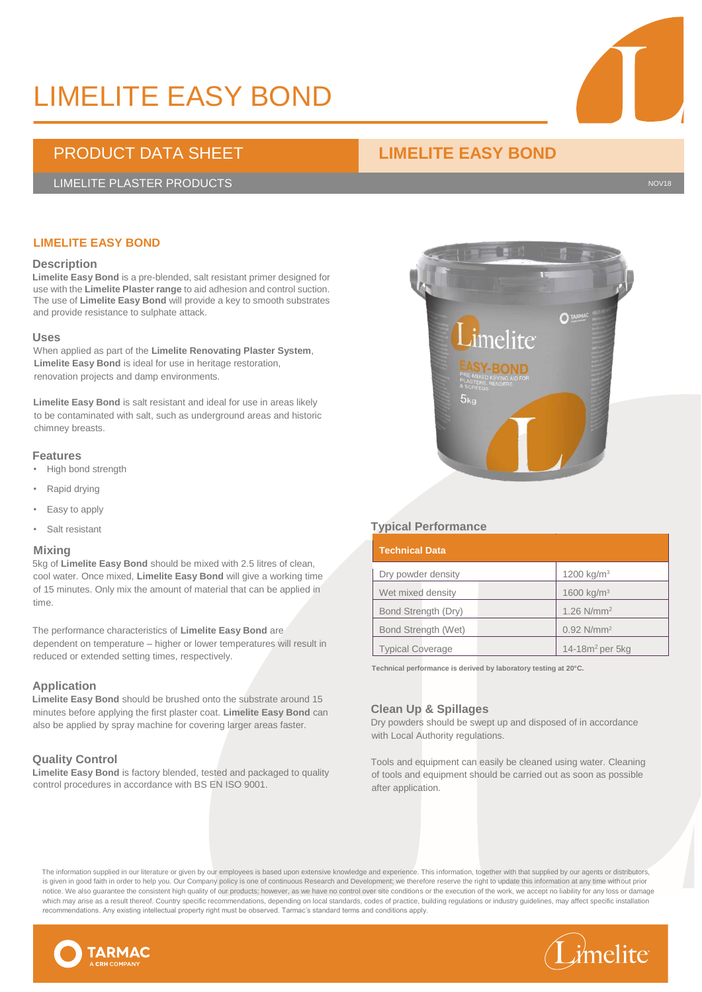# LIMELITE EASY BOND

### PRODUCT DATA SHEET **LIMELITE EASY BOND**

#### LIMELITE PLASTER PRODUCTS NOTE: A SERVICE SERVICE SERVICE SERVICE SERVICE SERVICE SERVICE SERVICE SERVICE SERVICE

### **LIMELITE EASY BOND**

#### **Description**

**Limelite Easy Bond** is a pre-blended, salt resistant primer designed for use with the **Limelite Plaster range** to aid adhesion and control suction. The use of **Limelite Easy Bond** will provide a key to smooth substrates and provide resistance to sulphate attack.

#### **Uses**

When applied as part of the **Limelite Renovating Plaster System**, **Limelite Easy Bond** is ideal for use in heritage restoration, renovation projects and damp environments.

**Limelite Easy Bond** is salt resistant and ideal for use in areas likely to be contaminated with salt, such as underground areas and historic chimney breasts.

#### **Features**

- High bond strength
- Rapid drying
- Easy to apply
- Salt resistant

#### **Mixing**

5kg of **Limelite Easy Bond** should be mixed with 2.5 litres of clean, cool water. Once mixed, **Limelite Easy Bond** will give a working time of 15 minutes. Only mix the amount of material that can be applied in time.

The performance characteristics of **Limelite Easy Bond** are dependent on temperature – higher or lower temperatures will result in reduced or extended setting times, respectively.

#### **Application**

**Limelite Easy Bond** should be brushed onto the substrate around 15 minutes before applying the first plaster coat. **Limelite Easy Bond** can also be applied by spray machine for covering larger areas faster.

#### **Quality Control**

**Limelite Easy Bond** is factory blended, tested and packaged to quality control procedures in accordance with BS EN ISO 9001.

#### **Typical Performance**

| <b>Technical Data</b>   |                          |
|-------------------------|--------------------------|
| Dry powder density      | 1200 kg/m <sup>3</sup>   |
| Wet mixed density       | 1600 kg/ $m3$            |
| Bond Strength (Dry)     | 1.26 $N/mm^2$            |
| Bond Strength (Wet)     | $0.92$ N/mm <sup>2</sup> |
| <b>Typical Coverage</b> | 14-18 $m2$ per 5kg       |

**Technical performance is derived by laboratory testing at 20°C.**

#### **Clean Up & Spillages**

Dry powders should be swept up and disposed of in accordance with Local Authority regulations.

Tools and equipment can easily be cleaned using water. Cleaning of tools and equipment should be carried out as soon as possible after application.

The information supplied in our literature or given by our employees is based upon extensive knowledge and experience. This information, together with that supplied by our agents or distributors, is given in good faith in order to help you. Our Company policy is one of continuous Research and Development; we therefore reserve the right to update this information at any time without prior notice. We also guarantee the consistent high quality of our products; however, as we have no control over site conditions or the execution of the work, we accept no liability for any loss or damage which may arise as a result thereof. Country specific recommendations, depending on local standards, codes of practice, building regulations or industry guidelines, may affect specific installation recommendations. Any existing intellectual property right must be observed. Tarmac's standard terms and conditions apply.